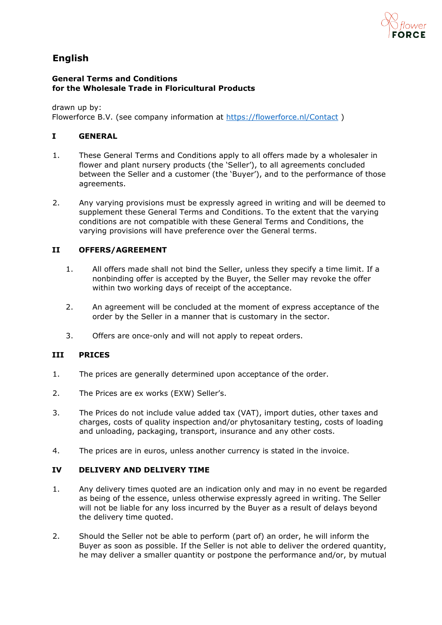

# **English**

#### **General Terms and Conditions for the Wholesale Trade in Floricultural Products**

drawn up by: Flowerforce B.V. (see company information at<https://flowerforce.nl/Contact>)

## **I GENERAL**

- 1. These General Terms and Conditions apply to all offers made by a wholesaler in flower and plant nursery products (the 'Seller'), to all agreements concluded between the Seller and a customer (the 'Buyer'), and to the performance of those agreements.
- 2. Any varying provisions must be expressly agreed in writing and will be deemed to supplement these General Terms and Conditions. To the extent that the varying conditions are not compatible with these General Terms and Conditions, the varying provisions will have preference over the General terms.

## **II OFFERS/AGREEMENT**

- 1. All offers made shall not bind the Seller, unless they specify a time limit. If a nonbinding offer is accepted by the Buyer, the Seller may revoke the offer within two working days of receipt of the acceptance.
- 2. An agreement will be concluded at the moment of express acceptance of the order by the Seller in a manner that is customary in the sector.
- 3. Offers are once-only and will not apply to repeat orders.

## **III PRICES**

- 1. The prices are generally determined upon acceptance of the order.
- 2. The Prices are ex works (EXW) Seller's.
- 3. The Prices do not include value added tax (VAT), import duties, other taxes and charges, costs of quality inspection and/or phytosanitary testing, costs of loading and unloading, packaging, transport, insurance and any other costs.
- 4. The prices are in euros, unless another currency is stated in the invoice.

## **IV DELIVERY AND DELIVERY TIME**

- 1. Any delivery times quoted are an indication only and may in no event be regarded as being of the essence, unless otherwise expressly agreed in writing. The Seller will not be liable for any loss incurred by the Buyer as a result of delays beyond the delivery time quoted.
- 2. Should the Seller not be able to perform (part of) an order, he will inform the Buyer as soon as possible. If the Seller is not able to deliver the ordered quantity, he may deliver a smaller quantity or postpone the performance and/or, by mutual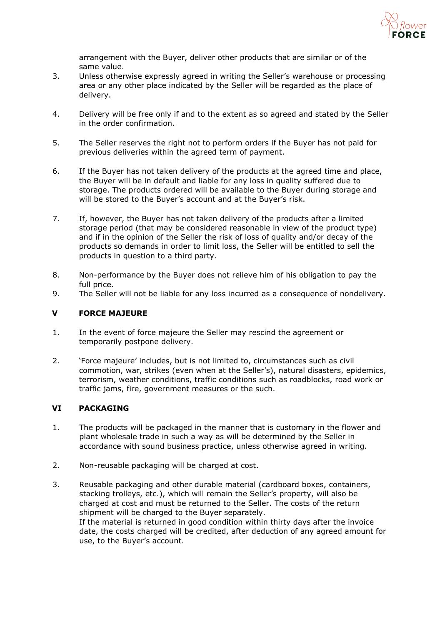

arrangement with the Buyer, deliver other products that are similar or of the same value.

- 3. Unless otherwise expressly agreed in writing the Seller's warehouse or processing area or any other place indicated by the Seller will be regarded as the place of delivery.
- 4. Delivery will be free only if and to the extent as so agreed and stated by the Seller in the order confirmation.
- 5. The Seller reserves the right not to perform orders if the Buyer has not paid for previous deliveries within the agreed term of payment.
- 6. If the Buyer has not taken delivery of the products at the agreed time and place, the Buyer will be in default and liable for any loss in quality suffered due to storage. The products ordered will be available to the Buyer during storage and will be stored to the Buyer's account and at the Buyer's risk.
- 7. If, however, the Buyer has not taken delivery of the products after a limited storage period (that may be considered reasonable in view of the product type) and if in the opinion of the Seller the risk of loss of quality and/or decay of the products so demands in order to limit loss, the Seller will be entitled to sell the products in question to a third party.
- 8. Non-performance by the Buyer does not relieve him of his obligation to pay the full price.
- 9. The Seller will not be liable for any loss incurred as a consequence of nondelivery.

## **V FORCE MAJEURE**

- 1. In the event of force majeure the Seller may rescind the agreement or temporarily postpone delivery.
- 2. 'Force majeure' includes, but is not limited to, circumstances such as civil commotion, war, strikes (even when at the Seller's), natural disasters, epidemics, terrorism, weather conditions, traffic conditions such as roadblocks, road work or traffic jams, fire, government measures or the such.

## **VI PACKAGING**

- 1. The products will be packaged in the manner that is customary in the flower and plant wholesale trade in such a way as will be determined by the Seller in accordance with sound business practice, unless otherwise agreed in writing.
- 2. Non-reusable packaging will be charged at cost.
- 3. Reusable packaging and other durable material (cardboard boxes, containers, stacking trolleys, etc.), which will remain the Seller's property, will also be charged at cost and must be returned to the Seller. The costs of the return shipment will be charged to the Buyer separately. If the material is returned in good condition within thirty days after the invoice date, the costs charged will be credited, after deduction of any agreed amount for use, to the Buyer's account.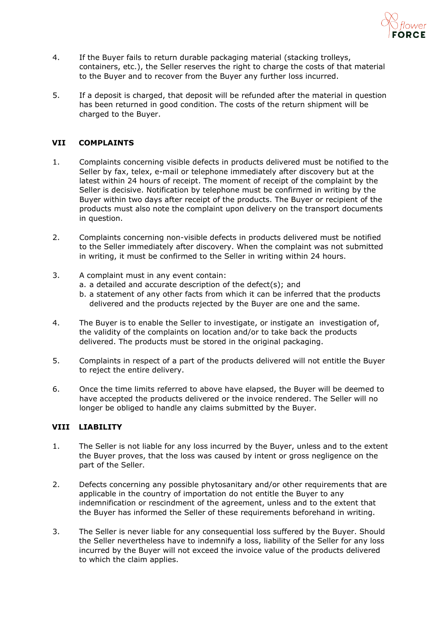

- 4. If the Buyer fails to return durable packaging material (stacking trolleys, containers, etc.), the Seller reserves the right to charge the costs of that material to the Buyer and to recover from the Buyer any further loss incurred.
- 5. If a deposit is charged, that deposit will be refunded after the material in question has been returned in good condition. The costs of the return shipment will be charged to the Buyer.

#### **VII COMPLAINTS**

- 1. Complaints concerning visible defects in products delivered must be notified to the Seller by fax, telex, e-mail or telephone immediately after discovery but at the latest within 24 hours of receipt. The moment of receipt of the complaint by the Seller is decisive. Notification by telephone must be confirmed in writing by the Buyer within two days after receipt of the products. The Buyer or recipient of the products must also note the complaint upon delivery on the transport documents in question.
- 2. Complaints concerning non-visible defects in products delivered must be notified to the Seller immediately after discovery. When the complaint was not submitted in writing, it must be confirmed to the Seller in writing within 24 hours.
- 3. A complaint must in any event contain:
	- a. a detailed and accurate description of the defect(s); and
	- b. a statement of any other facts from which it can be inferred that the products delivered and the products rejected by the Buyer are one and the same.
- 4. The Buyer is to enable the Seller to investigate, or instigate an investigation of, the validity of the complaints on location and/or to take back the products delivered. The products must be stored in the original packaging.
- 5. Complaints in respect of a part of the products delivered will not entitle the Buyer to reject the entire delivery.
- 6. Once the time limits referred to above have elapsed, the Buyer will be deemed to have accepted the products delivered or the invoice rendered. The Seller will no longer be obliged to handle any claims submitted by the Buyer.

## **VIII LIABILITY**

- 1. The Seller is not liable for any loss incurred by the Buyer, unless and to the extent the Buyer proves, that the loss was caused by intent or gross negligence on the part of the Seller.
- 2. Defects concerning any possible phytosanitary and/or other requirements that are applicable in the country of importation do not entitle the Buyer to any indemnification or rescindment of the agreement, unless and to the extent that the Buyer has informed the Seller of these requirements beforehand in writing.
- 3. The Seller is never liable for any consequential loss suffered by the Buyer. Should the Seller nevertheless have to indemnify a loss, liability of the Seller for any loss incurred by the Buyer will not exceed the invoice value of the products delivered to which the claim applies.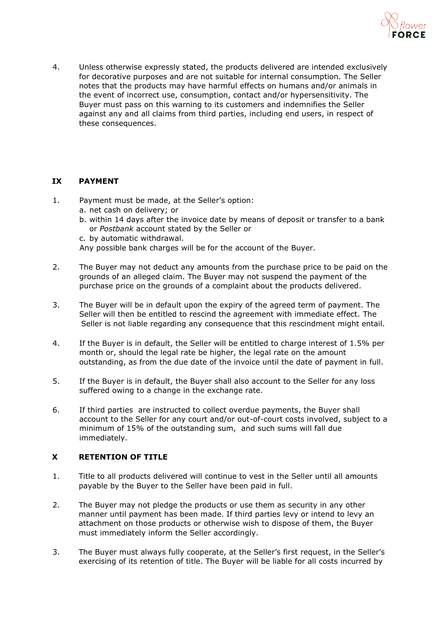

4. Unless otherwise expressly stated, the products delivered are intended exclusively for decorative purposes and are not suitable for internal consumption. The Seller notes that the products may have harmful effects on humans and/or animals in the event of incorrect use, consumption, contact and/or hypersensitivity. The Buyer must pass on this warning to its customers and indemnifies the Seller against any and all claims from third parties, including end users, in respect of these consequences.

## **IX PAYMENT**

- 1. Payment must be made, at the Seller's option:
	- a. net cash on delivery; or
	- b. within 14 days after the invoice date by means of deposit or transfer to a bank or *Postbank* account stated by the Seller or
	- c. by automatic withdrawal.

Any possible bank charges will be for the account of the Buyer.

- 2. The Buyer may not deduct any amounts from the purchase price to be paid on the grounds of an alleged claim. The Buyer may not suspend the payment of the purchase price on the grounds of a complaint about the products delivered.
- 3. The Buyer will be in default upon the expiry of the agreed term of payment. The Seller will then be entitled to rescind the agreement with immediate effect. The Seller is not liable regarding any consequence that this rescindment might entail.
- 4. If the Buyer is in default, the Seller will be entitled to charge interest of 1.5% per month or, should the legal rate be higher, the legal rate on the amount outstanding, as from the due date of the invoice until the date of payment in full.
- 5. If the Buyer is in default, the Buyer shall also account to the Seller for any loss suffered owing to a change in the exchange rate.
- 6. If third parties are instructed to collect overdue payments, the Buyer shall account to the Seller for any court and/or out-of-court costs involved, subject to a minimum of 15% of the outstanding sum, and such sums will fall due immediately.

## **X RETENTION OF TITLE**

- 1. Title to all products delivered will continue to vest in the Seller until all amounts payable by the Buyer to the Seller have been paid in full.
- 2. The Buyer may not pledge the products or use them as security in any other manner until payment has been made. If third parties levy or intend to levy an attachment on those products or otherwise wish to dispose of them, the Buyer must immediately inform the Seller accordingly.
- 3. The Buyer must always fully cooperate, at the Seller's first request, in the Seller's exercising of its retention of title. The Buyer will be liable for all costs incurred by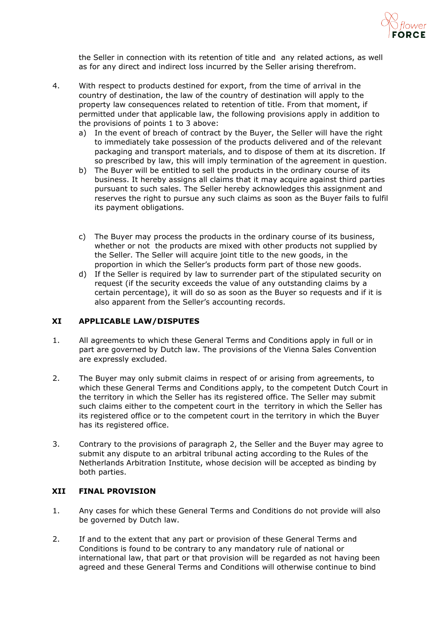

the Seller in connection with its retention of title and any related actions, as well as for any direct and indirect loss incurred by the Seller arising therefrom.

- 4. With respect to products destined for export, from the time of arrival in the country of destination, the law of the country of destination will apply to the property law consequences related to retention of title. From that moment, if permitted under that applicable law, the following provisions apply in addition to the provisions of points 1 to 3 above:
	- a) In the event of breach of contract by the Buyer, the Seller will have the right to immediately take possession of the products delivered and of the relevant packaging and transport materials, and to dispose of them at its discretion. If so prescribed by law, this will imply termination of the agreement in question.
	- b) The Buyer will be entitled to sell the products in the ordinary course of its business. It hereby assigns all claims that it may acquire against third parties pursuant to such sales. The Seller hereby acknowledges this assignment and reserves the right to pursue any such claims as soon as the Buyer fails to fulfil its payment obligations.
	- c) The Buyer may process the products in the ordinary course of its business, whether or not the products are mixed with other products not supplied by the Seller. The Seller will acquire joint title to the new goods, in the proportion in which the Seller's products form part of those new goods.
	- d) If the Seller is required by law to surrender part of the stipulated security on request (if the security exceeds the value of any outstanding claims by a certain percentage), it will do so as soon as the Buyer so requests and if it is also apparent from the Seller's accounting records.

## **XI APPLICABLE LAW/DISPUTES**

- 1. All agreements to which these General Terms and Conditions apply in full or in part are governed by Dutch law. The provisions of the Vienna Sales Convention are expressly excluded.
- 2. The Buyer may only submit claims in respect of or arising from agreements, to which these General Terms and Conditions apply, to the competent Dutch Court in the territory in which the Seller has its registered office. The Seller may submit such claims either to the competent court in the territory in which the Seller has its registered office or to the competent court in the territory in which the Buyer has its registered office.
- 3. Contrary to the provisions of paragraph 2, the Seller and the Buyer may agree to submit any dispute to an arbitral tribunal acting according to the Rules of the Netherlands Arbitration Institute, whose decision will be accepted as binding by both parties.

## **XII FINAL PROVISION**

- 1. Any cases for which these General Terms and Conditions do not provide will also be governed by Dutch law.
- 2. If and to the extent that any part or provision of these General Terms and Conditions is found to be contrary to any mandatory rule of national or international law, that part or that provision will be regarded as not having been agreed and these General Terms and Conditions will otherwise continue to bind